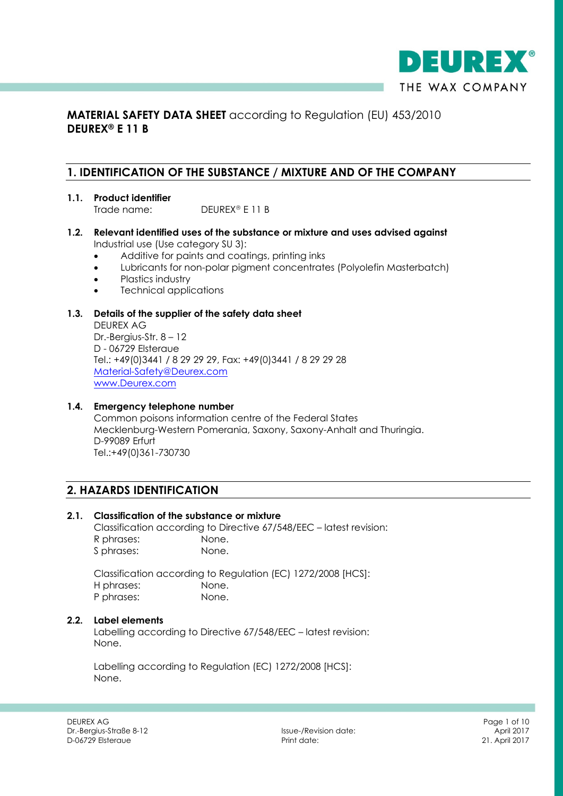

# **MATERIAL SAFETY DATA SHEET** according to Regulation (EU) 453/2010 **DEUREX® E 11 B**

## **1. IDENTIFICATION OF THE SUBSTANCE / MIXTURE AND OF THE COMPANY**

- **1.1. Product identifier** Trade name: DEUREX<sup>®</sup> E 11 B
- **1.2. Relevant identified uses of the substance or mixture and uses advised against** Industrial use (Use category SU 3):
	- Additive for paints and coatings, printing inks
	- Lubricants for non-polar pigment concentrates (Polyolefin Masterbatch)
	- Plastics industry
	- Technical applications

#### **1.3. Details of the supplier of the safety data sheet**

DEUREX AG Dr.-Bergius-Str. 8 – 12 D - 06729 Elsteraue Tel.: +49(0)3441 / 8 29 29 29, Fax: +49(0)3441 / 8 29 29 28 Material-Safety@Deurex.com www.Deurex.com

#### **1.4. Emergency telephone number**

Common poisons information centre of the Federal States Mecklenburg-Western Pomerania, Saxony, Saxony-Anhalt and Thuringia. D-99089 Erfurt Tel.:+49(0)361-730730

# **2. HAZARDS IDENTIFICATION**

## **2.1. Classification of the substance or mixture**

Classification according to Directive 67/548/EEC – latest revision: R phrases: None. S phrases: None.

Classification according to Regulation (EC) 1272/2008 [HCS]: H phrases: None. P phrases: None.

#### **2.2. Label elements**

Labelling according to Directive 67/548/EEC – latest revision: None.

Labelling according to Regulation (EC) 1272/2008 [HCS]: None.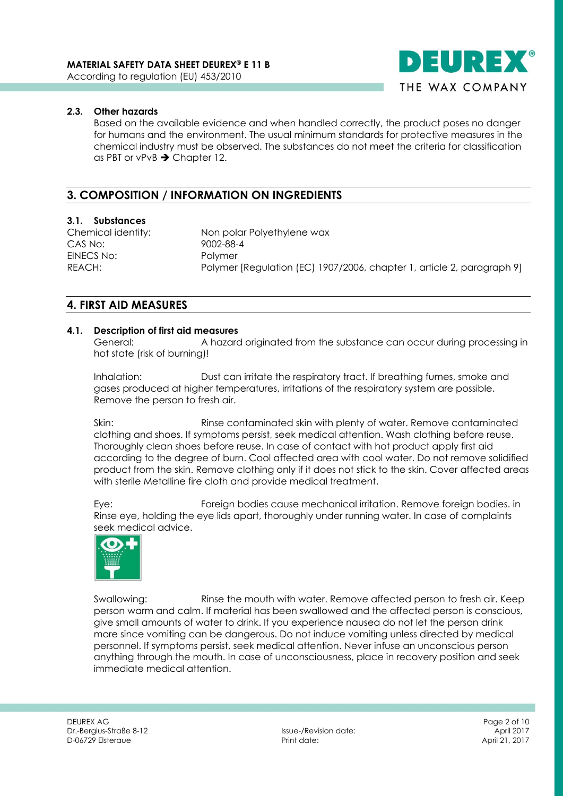

Based on the available evidence and when handled correctly, the product poses no danger for humans and the environment. The usual minimum standards for protective measures in the chemical industry must be observed. The substances do not meet the criteria for classification as PBT or vPvB  $\rightarrow$  Chapter 12.

# **3. COMPOSITION / INFORMATION ON INGREDIENTS**

#### **3.1. Substances**

CAS No: 9002-88-4 EINECS No: Polymer

Chemical identity: Non polar Polyethylene wax REACH: Polymer [Regulation (EC) 1907/2006, chapter 1, article 2, paragraph 9]

## **4. FIRST AID MEASURES**

#### **4.1. Description of first aid measures**

General: A hazard originated from the substance can occur during processing in hot state (risk of burning)!

Inhalation: Dust can irritate the respiratory tract. If breathing fumes, smoke and gases produced at higher temperatures, irritations of the respiratory system are possible. Remove the person to fresh air.

Skin: Rinse contaminated skin with plenty of water. Remove contaminated clothing and shoes. If symptoms persist, seek medical attention. Wash clothing before reuse. Thoroughly clean shoes before reuse. In case of contact with hot product apply first aid according to the degree of burn. Cool affected area with cool water. Do not remove solidified product from the skin. Remove clothing only if it does not stick to the skin. Cover affected areas with sterile Metalline fire cloth and provide medical treatment.

Eye: Foreign bodies cause mechanical irritation. Remove foreign bodies. in Rinse eye, holding the eye lids apart, thoroughly under running water. In case of complaints seek medical advice.



Swallowing: Rinse the mouth with water. Remove affected person to fresh air. Keep person warm and calm. If material has been swallowed and the affected person is conscious, give small amounts of water to drink. If you experience nausea do not let the person drink more since vomiting can be dangerous. Do not induce vomiting unless directed by medical personnel. If symptoms persist, seek medical attention. Never infuse an unconscious person anything through the mouth. In case of unconsciousness, place in recovery position and seek immediate medical attention.

DEUREX AG Page 2 of 10 Dr.-Bergius-Straße 8-12 Issue-/Revision date: April 2017 D-06729 Elsteraue

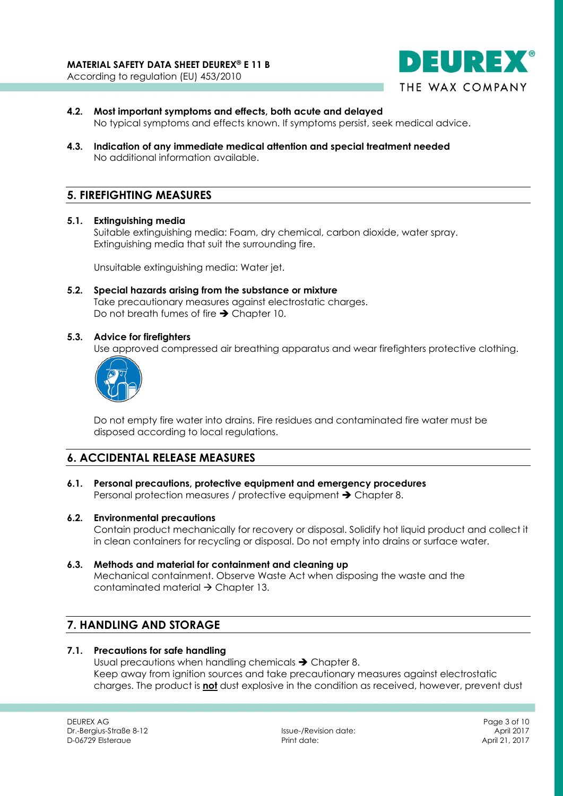

- **4.2. Most important symptoms and effects, both acute and delayed** No typical symptoms and effects known. If symptoms persist, seek medical advice.
- **4.3. Indication of any immediate medical attention and special treatment needed** No additional information available.

# **5. FIREFIGHTING MEASURES**

**5.1. Extinguishing media**

Suitable extinguishing media: Foam, dry chemical, carbon dioxide, water spray. Extinguishing media that suit the surrounding fire.

Unsuitable extinguishing media: Water jet.

**5.2. Special hazards arising from the substance or mixture** Take precautionary measures against electrostatic charges. Do not breath fumes of fire  $\rightarrow$  Chapter 10.

#### **5.3. Advice for firefighters**

Use approved compressed air breathing apparatus and wear firefighters protective clothing.



Do not empty fire water into drains. Fire residues and contaminated fire water must be disposed according to local regulations.

# **6. ACCIDENTAL RELEASE MEASURES**

**6.1. Personal precautions, protective equipment and emergency procedures** Personal protection measures / protective equipment  $\rightarrow$  Chapter 8.

#### **6.2. Environmental precautions**

Contain product mechanically for recovery or disposal. Solidify hot liquid product and collect it in clean containers for recycling or disposal. Do not empty into drains or surface water.

**6.3. Methods and material for containment and cleaning up** Mechanical containment. Observe Waste Act when disposing the waste and the contaminated material  $\rightarrow$  Chapter 13.

# **7. HANDLING AND STORAGE**

## **7.1. Precautions for safe handling**

Usual precautions when handling chemicals  $\rightarrow$  Chapter 8. Keep away from ignition sources and take precautionary measures against electrostatic charges. The product is **not** dust explosive in the condition as received, however, prevent dust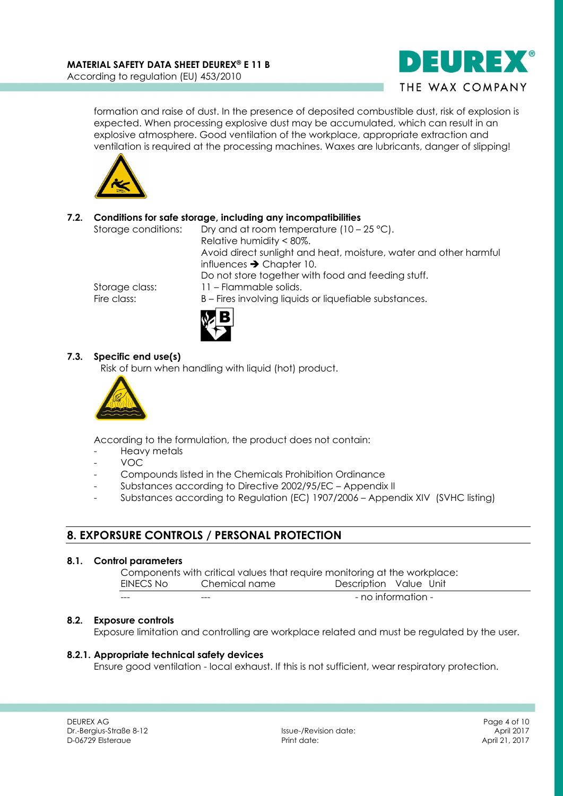

formation and raise of dust. In the presence of deposited combustible dust, risk of explosion is expected. When processing explosive dust may be accumulated, which can result in an explosive atmosphere. Good ventilation of the workplace, appropriate extraction and ventilation is required at the processing machines. Waxes are lubricants, danger of slipping!



## **7.2. Conditions for safe storage, including any incompatibilities**

Storage conditions: Dry and at room temperature (10 – 25 °C). Relative humidity < 80%. Avoid direct sunlight and heat, moisture, water and other harmful influences  $\rightarrow$  Chapter 10. Do not store together with food and feeding stuff. Storage class: 11 – Flammable solids. Fire class: B – Fires involving liquids or liquefiable substances.



## **7.3. Specific end use(s)**

Risk of burn when handling with liquid (hot) product.



According to the formulation, the product does not contain:

- Heavy metals
- VOC
- Compounds listed in the Chemicals Prohibition Ordinance
- Substances according to Directive 2002/95/EC Appendix II
- Substances according to Regulation (EC) 1907/2006 Appendix XIV (SVHC listing)

# **8. EXPORSURE CONTROLS / PERSONAL PROTECTION**

#### **8.1. Control parameters**

Components with critical values that require monitoring at the workplace: EINECS No Chemical name Description Value Unit

| $- - -$ | $- - -$ |                    |
|---------|---------|--------------------|
|         |         | - no information - |

## **8.2. Exposure controls**

Exposure limitation and controlling are workplace related and must be regulated by the user.

## **8.2.1. Appropriate technical safety devices**

Ensure good ventilation - local exhaust. If this is not sufficient, wear respiratory protection.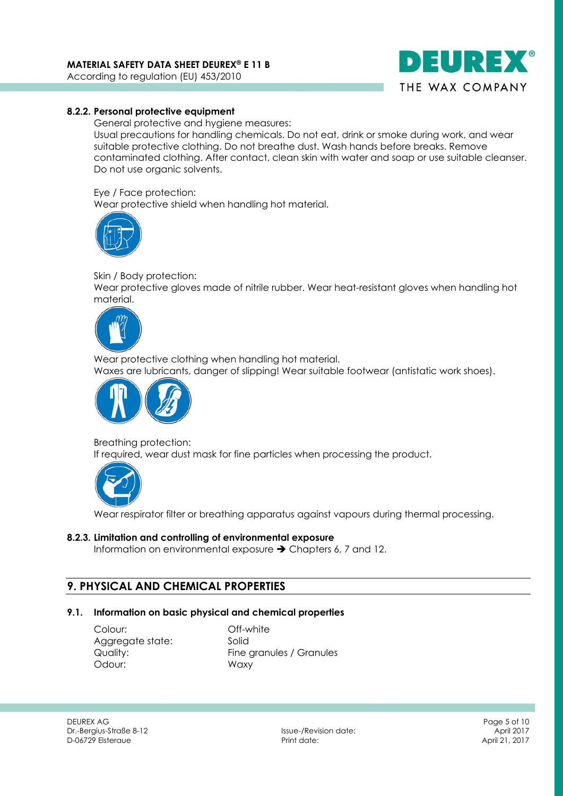

#### **8.2.2. Personal protective equipment**

General protective and hygiene measures:

Usual precautions for handling chemicals. Do not eat, drink or smoke during work, and wear suitable protective clothing. Do not breathe dust. Wash hands before breaks. Remove contaminated clothing. After contact, clean skin with water and soap or use suitable cleanser. Do not use organic solvents.

Eye / Face protection:

Wear protective shield when handling hot material.



Skin / Body protection:

Wear protective gloves made of nitrile rubber. Wear heat-resistant gloves when handling hot material.



Wear protective clothing when handling hot material. Waxes are lubricants, danger of slipping! Wear suitable footwear (antistatic work shoes).



Breathing protection:

If required, wear dust mask for fine particles when processing the product.



Wear respirator filter or breathing apparatus against vapours during thermal processing.

#### **8.2.3. Limitation and controlling of environmental exposure**

Information on environmental exposure  $\rightarrow$  Chapters 6, 7 and 12.

# **9. PHYSICAL AND CHEMICAL PROPERTIES**

#### **9.1. Information on basic physical and chemical properties**

Colour: Off-white Aggregate state: Solid Odour: Waxy

Quality: Fine granules / Granules

DEUREX AG Page 5 of 10 Dr.-Bergius-Straße 8-12 Issue-/Revision date: April 2017 D-06729 Elsteraue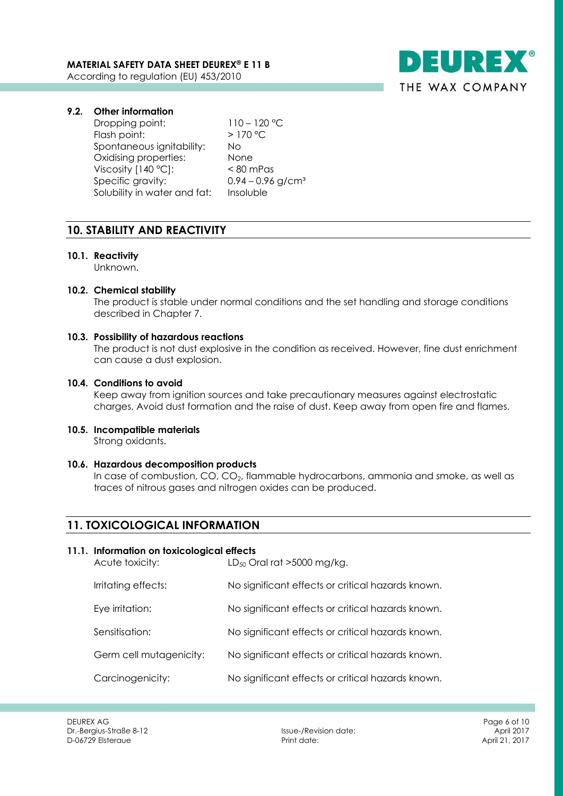

## **9.2. Other information**

Dropping point: 110 – 120 °C Flash point:  $> 170 °C$ Spontaneous ignitability: No Oxidising properties: None Viscosity [140 °C]: < 80 mPas Specific gravity:  $0.94 - 0.96$  g/cm<sup>3</sup> Solubility in water and fat: Insoluble

# **10. STABILITY AND REACTIVITY**

## **10.1. Reactivity**

Unknown.

# **10.2. Chemical stability**

The product is stable under normal conditions and the set handling and storage conditions described in Chapter 7.

## **10.3. Possibility of hazardous reactions**

The product is not dust explosive in the condition as received. However, fine dust enrichment can cause a dust explosion.

## **10.4. Conditions to avoid**

Keep away from ignition sources and take precautionary measures against electrostatic charges. Avoid dust formation and the raise of dust. Keep away from open fire and flames.

# **10.5. Incompatible materials**

Strong oxidants.

#### **10.6. Hazardous decomposition products**

In case of combustion,  $CO$ ,  $CO<sub>2</sub>$ , flammable hydrocarbons, ammonia and smoke, as well as traces of nitrous gases and nitrogen oxides can be produced.

# **11. TOXICOLOGICAL INFORMATION**

#### **11.1. Information on toxicological effects**

| Acute toxicity:         | $LD_{50}$ Oral rat >5000 mg/kg.                   |
|-------------------------|---------------------------------------------------|
| Irritating effects:     | No significant effects or critical hazards known. |
| Eye irritation:         | No significant effects or critical hazards known. |
| Sensitisation:          | No significant effects or critical hazards known. |
| Germ cell mutagenicity: | No significant effects or critical hazards known. |
| Carcinogenicity:        | No significant effects or critical hazards known. |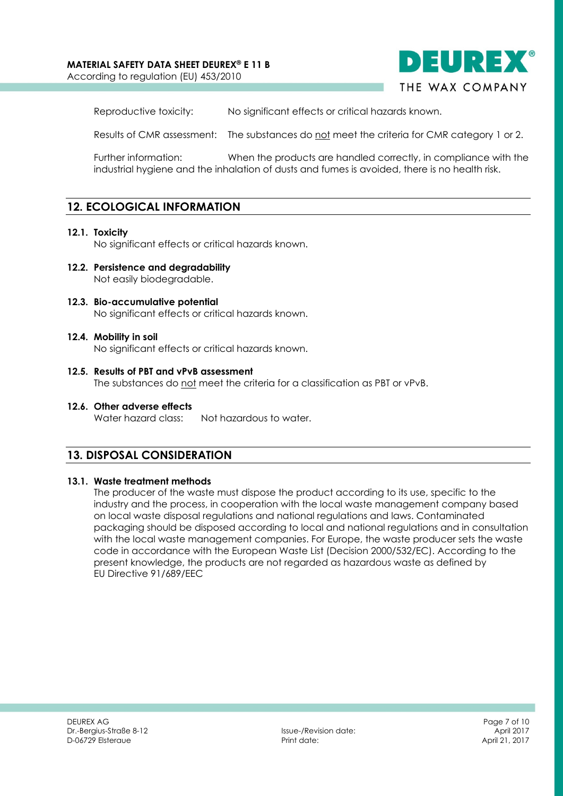## **MATERIAL SAFETY DATA SHEET DEUREX® E 11 B**

According to regulation (EU) 453/2010



Reproductive toxicity: No significant effects or critical hazards known.

Results of CMR assessment: The substances do not meet the criteria for CMR category 1 or 2.

Further information: When the products are handled correctly, in compliance with the industrial hygiene and the inhalation of dusts and fumes is avoided, there is no health risk.

# **12. ECOLOGICAL INFORMATION**

#### **12.1. Toxicity**

No significant effects or critical hazards known.

- **12.2. Persistence and degradability** Not easily biodegradable.
- **12.3. Bio-accumulative potential** No significant effects or critical hazards known.
- **12.4. Mobility in soil** No significant effects or critical hazards known.
- **12.5. Results of PBT and vPvB assessment** The substances do not meet the criteria for a classification as PBT or vPvB.
- **12.6. Other adverse effects** Water hazard class: Not hazardous to water.

## **13. DISPOSAL CONSIDERATION**

#### **13.1. Waste treatment methods**

The producer of the waste must dispose the product according to its use, specific to the industry and the process, in cooperation with the local waste management company based on local waste disposal regulations and national regulations and laws. Contaminated packaging should be disposed according to local and national regulations and in consultation with the local waste management companies. For Europe, the waste producer sets the waste code in accordance with the European Waste List (Decision 2000/532/EC). According to the present knowledge, the products are not regarded as hazardous waste as defined by EU Directive 91/689/EEC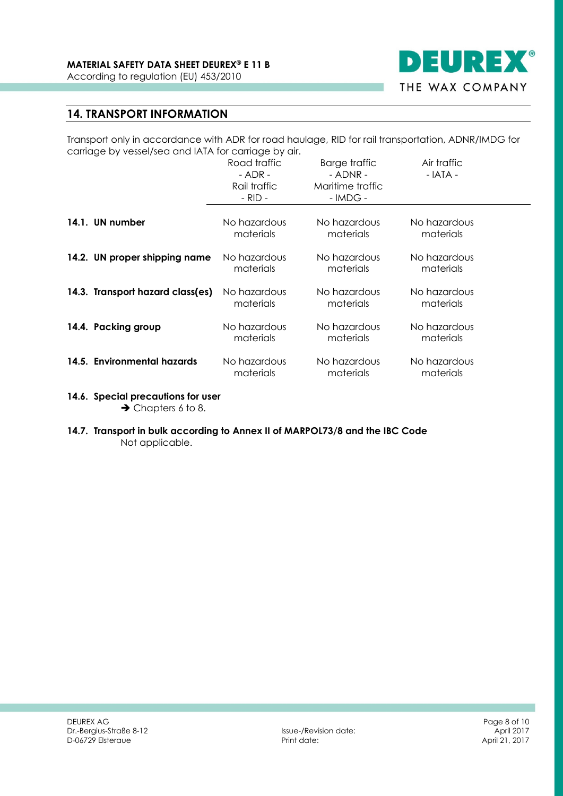

# **14. TRANSPORT INFORMATION**

Transport only in accordance with ADR for road haulage, RID for rail transportation, ADNR/IMDG for carriage by vessel/sea and IATA for carriage by air.

|                                  | Road traffic<br>- ADR -<br>Rail traffic<br>$-$ RID $-$ | <b>Barge traffic</b><br>- ADNR -<br>Maritime traffic<br>$-IMDG -$ | Air traffic<br>$-$ IATA - |
|----------------------------------|--------------------------------------------------------|-------------------------------------------------------------------|---------------------------|
| 14.1. UN number                  | No hazardous                                           | No hazardous                                                      | No hazardous              |
|                                  | materials                                              | materials                                                         | materials                 |
| 14.2. UN proper shipping name    | No hazardous                                           | No hazardous                                                      | No hazardous              |
|                                  | materials                                              | materials                                                         | materials                 |
| 14.3. Transport hazard class(es) | No hazardous                                           | No hazardous                                                      | No hazardous              |
|                                  | materials                                              | materials                                                         | materials                 |
| 14.4. Packing group              | No hazardous                                           | No hazardous                                                      | No hazardous              |
|                                  | materials                                              | materials                                                         | materials                 |
| 14.5. Environmental hazards      | No hazardous                                           | No hazardous                                                      | No hazardous              |
|                                  | materials                                              | materials                                                         | materials                 |

- **14.6. Special precautions for user**  $\rightarrow$  Chapters 6 to 8.
- **14.7. Transport in bulk according to Annex II of MARPOL73/8 and the IBC Code** Not applicable.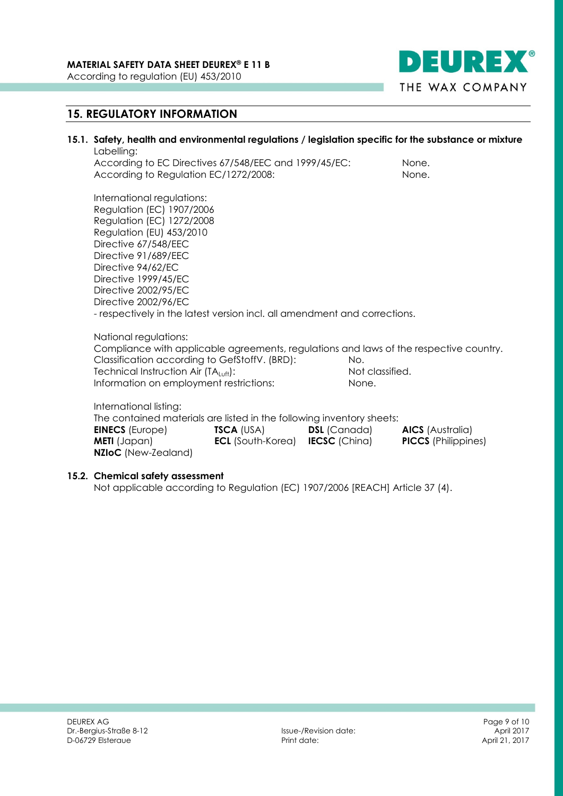

# **15. REGULATORY INFORMATION**

## **15.1. Safety, health and environmental regulations / legislation specific for the substance or mixture** Labelling:

According to EC Directives 67/548/EEC and 1999/45/EC: None. According to Regulation EC/1272/2008: None.

International regulations: Regulation (EC) 1907/2006 Regulation (EC) 1272/2008 Regulation (EU) 453/2010 Directive 67/548/EEC Directive 91/689/EEC Directive 94/62/EC Directive 1999/45/EC Directive 2002/95/EC Directive 2002/96/EC - respectively in the latest version incl. all amendment and corrections.

National regulations:

Compliance with applicable agreements, regulations and laws of the respective country. Classification according to GefStoffV. (BRD): No.

Technical Instruction Air  $(TA_{Luff})$ : Not classified. Information on employment restrictions: None.

International listing:

The contained materials are listed in the following inventory sheets:

| <b>EINECS</b> (Europe)     | <b>TSCA (USA)</b>        | <b>DSL</b> (Canada)  | <b>AICS</b> (Australia)    |
|----------------------------|--------------------------|----------------------|----------------------------|
| <b>METI</b> (Japan)        | <b>ECL</b> (South-Korea) | <b>IECSC</b> (China) | <b>PICCS</b> (Philippines) |
| <b>NZIoC</b> (New-Zealand) |                          |                      |                            |

#### **15.2. Chemical safety assessment**

Not applicable according to Regulation (EC) 1907/2006 [REACH] Article 37 (4).